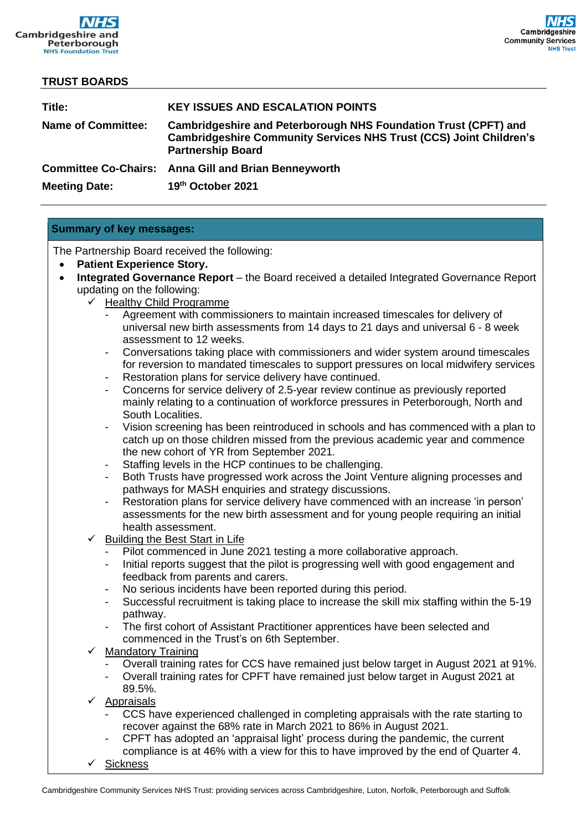

## **TRUST BOARDS**

| Title:                    | <b>KEY ISSUES AND ESCALATION POINTS</b>                                                                                                                                  |
|---------------------------|--------------------------------------------------------------------------------------------------------------------------------------------------------------------------|
| <b>Name of Committee:</b> | Cambridgeshire and Peterborough NHS Foundation Trust (CPFT) and<br><b>Cambridgeshire Community Services NHS Trust (CCS) Joint Children's</b><br><b>Partnership Board</b> |
|                           | <b>Committee Co-Chairs: Anna Gill and Brian Benneyworth</b>                                                                                                              |
| <b>Meeting Date:</b>      | 19th October 2021                                                                                                                                                        |

## **Summary of key messages:**

The Partnership Board received the following:

- **Patient Experience Story.**
- **Integrated Governance Report** the Board received a detailed Integrated Governance Report updating on the following:
	- Healthy Child Programme
		- Agreement with commissioners to maintain increased timescales for delivery of universal new birth assessments from 14 days to 21 days and universal 6 - 8 week assessment to 12 weeks.
		- Conversations taking place with commissioners and wider system around timescales for reversion to mandated timescales to support pressures on local midwifery services
		- Restoration plans for service delivery have continued.
		- Concerns for service delivery of 2.5-year review continue as previously reported mainly relating to a continuation of workforce pressures in Peterborough, North and South Localities.
		- Vision screening has been reintroduced in schools and has commenced with a plan to catch up on those children missed from the previous academic year and commence the new cohort of YR from September 2021.
		- Staffing levels in the HCP continues to be challenging.
		- Both Trusts have progressed work across the Joint Venture aligning processes and pathways for MASH enquiries and strategy discussions.
		- Restoration plans for service delivery have commenced with an increase 'in person' assessments for the new birth assessment and for young people requiring an initial health assessment.
	- $\checkmark$  Building the Best Start in Life
		- Pilot commenced in June 2021 testing a more collaborative approach.
		- Initial reports suggest that the pilot is progressing well with good engagement and feedback from parents and carers.
		- No serious incidents have been reported during this period.
		- Successful recruitment is taking place to increase the skill mix staffing within the 5-19 pathway.
		- The first cohort of Assistant Practitioner apprentices have been selected and commenced in the Trust's on 6th September.
	- **Mandatory Training** 
		- Overall training rates for CCS have remained just below target in August 2021 at 91%.
		- Overall training rates for CPFT have remained just below target in August 2021 at 89.5%.
	- ✓ Appraisals
		- CCS have experienced challenged in completing appraisals with the rate starting to recover against the 68% rate in March 2021 to 86% in August 2021.
		- CPFT has adopted an 'appraisal light' process during the pandemic, the current
		- compliance is at 46% with a view for this to have improved by the end of Quarter 4.
	- **Sickness**